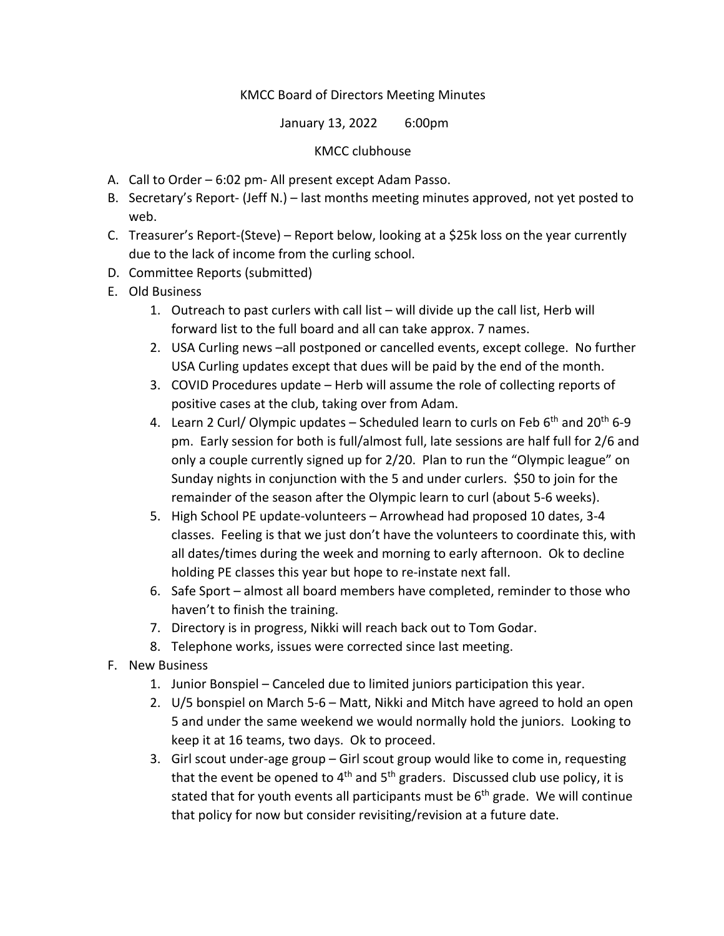# KMCC Board of Directors Meeting Minutes

January 13, 2022 6:00pm

## KMCC clubhouse

- A. Call to Order 6:02 pm- All present except Adam Passo.
- B. Secretary's Report- (Jeff N.) last months meeting minutes approved, not yet posted to web.
- C. Treasurer's Report-(Steve) Report below, looking at a \$25k loss on the year currently due to the lack of income from the curling school.
- D. Committee Reports (submitted)
- E. Old Business
	- 1. Outreach to past curlers with call list will divide up the call list, Herb will forward list to the full board and all can take approx. 7 names.
	- 2. USA Curling news –all postponed or cancelled events, except college. No further USA Curling updates except that dues will be paid by the end of the month.
	- 3. COVID Procedures update Herb will assume the role of collecting reports of positive cases at the club, taking over from Adam.
	- 4. Learn 2 Curl/ Olympic updates Scheduled learn to curls on Feb 6<sup>th</sup> and 20<sup>th</sup> 6-9 pm. Early session for both is full/almost full, late sessions are half full for 2/6 and only a couple currently signed up for 2/20. Plan to run the "Olympic league" on Sunday nights in conjunction with the 5 and under curlers. \$50 to join for the remainder of the season after the Olympic learn to curl (about 5-6 weeks).
	- 5. High School PE update-volunteers Arrowhead had proposed 10 dates, 3-4 classes. Feeling is that we just don't have the volunteers to coordinate this, with all dates/times during the week and morning to early afternoon. Ok to decline holding PE classes this year but hope to re-instate next fall.
	- 6. Safe Sport almost all board members have completed, reminder to those who haven't to finish the training.
	- 7. Directory is in progress, Nikki will reach back out to Tom Godar.
	- 8. Telephone works, issues were corrected since last meeting.
- F. New Business
	- 1. Junior Bonspiel Canceled due to limited juniors participation this year.
	- 2. U/5 bonspiel on March 5-6 Matt, Nikki and Mitch have agreed to hold an open 5 and under the same weekend we would normally hold the juniors. Looking to keep it at 16 teams, two days. Ok to proceed.
	- 3. Girl scout under-age group Girl scout group would like to come in, requesting that the event be opened to  $4<sup>th</sup>$  and  $5<sup>th</sup>$  graders. Discussed club use policy, it is stated that for youth events all participants must be  $6<sup>th</sup>$  grade. We will continue that policy for now but consider revisiting/revision at a future date.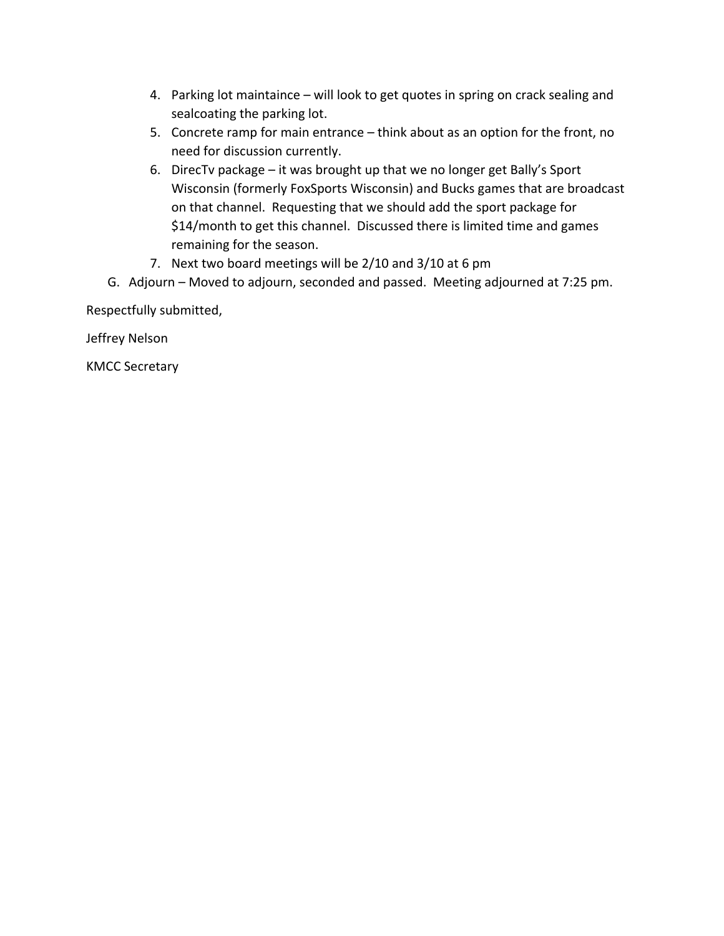- 4. Parking lot maintaince will look to get quotes in spring on crack sealing and sealcoating the parking lot.
- 5. Concrete ramp for main entrance think about as an option for the front, no need for discussion currently.
- 6. DirecTv package it was brought up that we no longer get Bally's Sport Wisconsin (formerly FoxSports Wisconsin) and Bucks games that are broadcast on that channel. Requesting that we should add the sport package for \$14/month to get this channel. Discussed there is limited time and games remaining for the season.
- 7. Next two board meetings will be 2/10 and 3/10 at 6 pm
- G. Adjourn Moved to adjourn, seconded and passed. Meeting adjourned at 7:25 pm.

Respectfully submitted,

Jeffrey Nelson

KMCC Secretary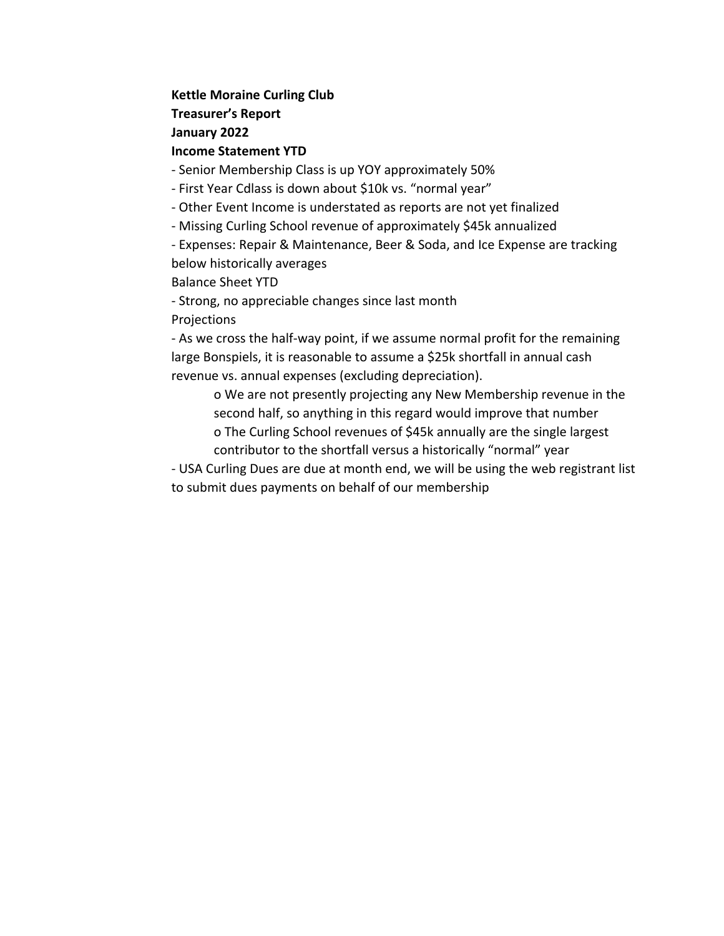## **Kettle Moraine Curling Club**

**Treasurer's Report**

**January 2022**

# **Income Statement YTD**

- Senior Membership Class is up YOY approximately 50%

- First Year Cdlass is down about \$10k vs. "normal year"
- Other Event Income is understated as reports are not yet finalized
- Missing Curling School revenue of approximately \$45k annualized

- Expenses: Repair & Maintenance, Beer & Soda, and Ice Expense are tracking below historically averages

Balance Sheet YTD

- Strong, no appreciable changes since last month **Projections** 

- As we cross the half-way point, if we assume normal profit for the remaining large Bonspiels, it is reasonable to assume a \$25k shortfall in annual cash revenue vs. annual expenses (excluding depreciation).

o We are not presently projecting any New Membership revenue in the second half, so anything in this regard would improve that number o The Curling School revenues of \$45k annually are the single largest contributor to the shortfall versus a historically "normal" year

- USA Curling Dues are due at month end, we will be using the web registrant list to submit dues payments on behalf of our membership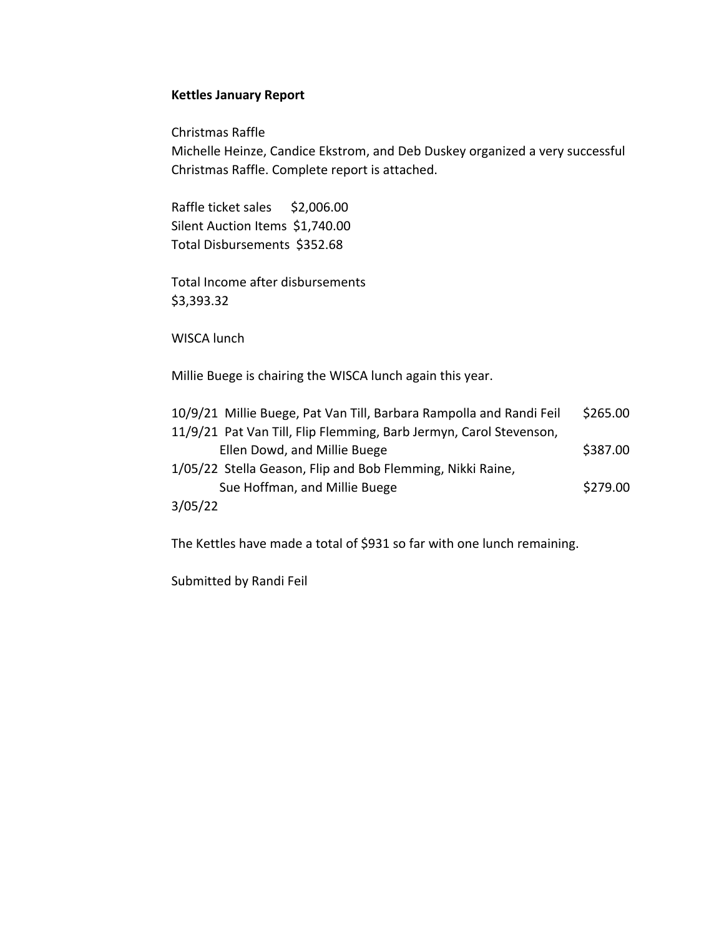## **Kettles January Report**

Christmas Raffle

Michelle Heinze, Candice Ekstrom, and Deb Duskey organized a very successful Christmas Raffle. Complete report is attached.

Raffle ticket sales \$2,006.00 Silent Auction Items \$1,740.00 Total Disbursements \$352.68

Total Income after disbursements \$3,393.32

WISCA lunch

Millie Buege is chairing the WISCA lunch again this year.

| 10/9/21 Millie Buege, Pat Van Till, Barbara Rampolla and Randi Feil | \$265.00 |
|---------------------------------------------------------------------|----------|
| 11/9/21 Pat Van Till, Flip Flemming, Barb Jermyn, Carol Stevenson,  |          |
| Ellen Dowd, and Millie Buege                                        | \$387.00 |
| 1/05/22 Stella Geason, Flip and Bob Flemming, Nikki Raine,          |          |
| Sue Hoffman, and Millie Buege                                       | \$279.00 |
| 3/05/22                                                             |          |

The Kettles have made a total of \$931 so far with one lunch remaining.

Submitted by Randi Feil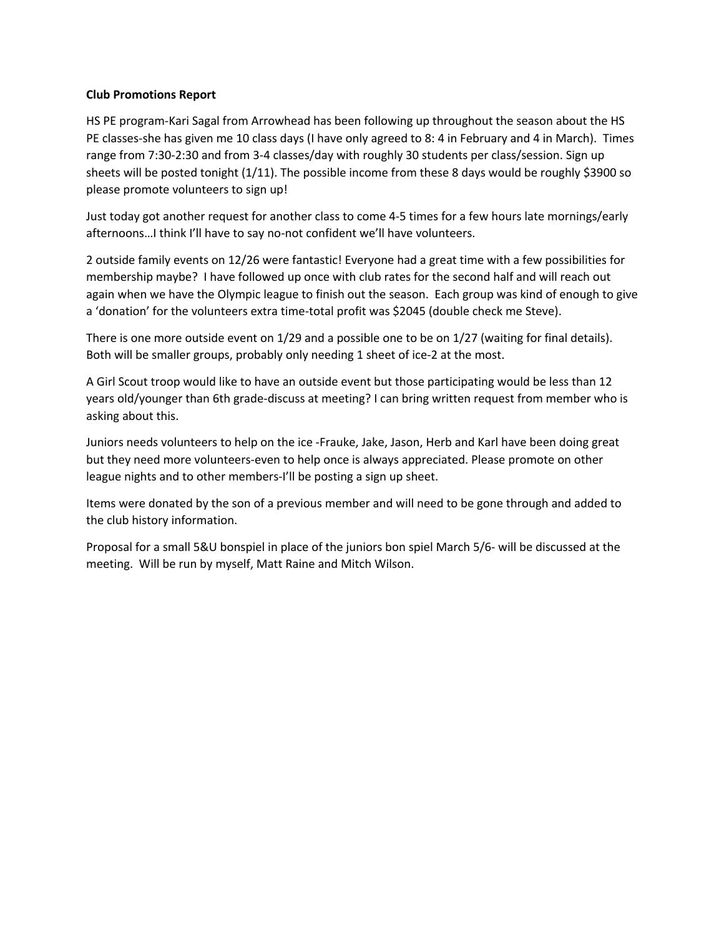#### **Club Promotions Report**

HS PE program-Kari Sagal from Arrowhead has been following up throughout the season about the HS PE classes-she has given me 10 class days (I have only agreed to 8: 4 in February and 4 in March). Times range from 7:30-2:30 and from 3-4 classes/day with roughly 30 students per class/session. Sign up sheets will be posted tonight  $(1/11)$ . The possible income from these 8 days would be roughly \$3900 so please promote volunteers to sign up!

Just today got another request for another class to come 4-5 times for a few hours late mornings/early afternoons…I think I'll have to say no-not confident we'll have volunteers.

2 outside family events on 12/26 were fantastic! Everyone had a great time with a few possibilities for membership maybe? I have followed up once with club rates for the second half and will reach out again when we have the Olympic league to finish out the season. Each group was kind of enough to give a 'donation' for the volunteers extra time-total profit was \$2045 (double check me Steve).

There is one more outside event on 1/29 and a possible one to be on 1/27 (waiting for final details). Both will be smaller groups, probably only needing 1 sheet of ice-2 at the most.

A Girl Scout troop would like to have an outside event but those participating would be less than 12 years old/younger than 6th grade-discuss at meeting? I can bring written request from member who is asking about this.

Juniors needs volunteers to help on the ice -Frauke, Jake, Jason, Herb and Karl have been doing great but they need more volunteers-even to help once is always appreciated. Please promote on other league nights and to other members-I'll be posting a sign up sheet.

Items were donated by the son of a previous member and will need to be gone through and added to the club history information.

Proposal for a small 5&U bonspiel in place of the juniors bon spiel March 5/6- will be discussed at the meeting. Will be run by myself, Matt Raine and Mitch Wilson.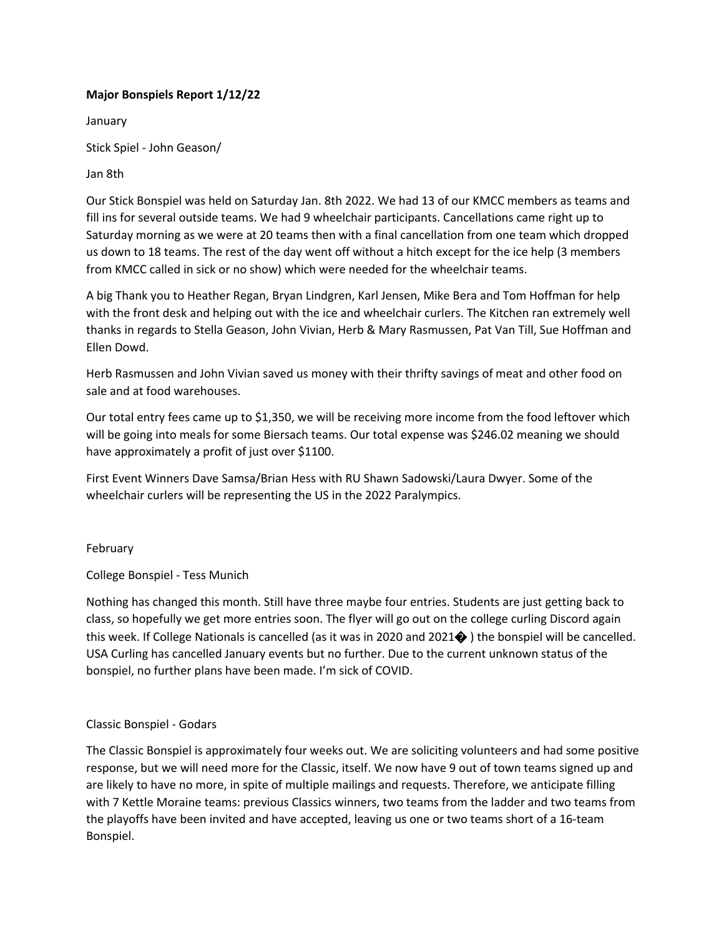## **Major Bonspiels Report 1/12/22**

January

Stick Spiel - John Geason/

## Jan 8th

Our Stick Bonspiel was held on Saturday Jan. 8th 2022. We had 13 of our KMCC members as teams and fill ins for several outside teams. We had 9 wheelchair participants. Cancellations came right up to Saturday morning as we were at 20 teams then with a final cancellation from one team which dropped us down to 18 teams. The rest of the day went off without a hitch except for the ice help (3 members from KMCC called in sick or no show) which were needed for the wheelchair teams.

A big Thank you to Heather Regan, Bryan Lindgren, Karl Jensen, Mike Bera and Tom Hoffman for help with the front desk and helping out with the ice and wheelchair curlers. The Kitchen ran extremely well thanks in regards to Stella Geason, John Vivian, Herb & Mary Rasmussen, Pat Van Till, Sue Hoffman and Ellen Dowd.

Herb Rasmussen and John Vivian saved us money with their thrifty savings of meat and other food on sale and at food warehouses.

Our total entry fees came up to \$1,350, we will be receiving more income from the food leftover which will be going into meals for some Biersach teams. Our total expense was \$246.02 meaning we should have approximately a profit of just over \$1100.

First Event Winners Dave Samsa/Brian Hess with RU Shawn Sadowski/Laura Dwyer. Some of the wheelchair curlers will be representing the US in the 2022 Paralympics.

## February

College Bonspiel - Tess Munich

Nothing has changed this month. Still have three maybe four entries. Students are just getting back to class, so hopefully we get more entries soon. The flyer will go out on the college curling Discord again this week. If College Nationals is cancelled (as it was in 2020 and 2021� ) the bonspiel will be cancelled. USA Curling has cancelled January events but no further. Due to the current unknown status of the bonspiel, no further plans have been made. I'm sick of COVID.

## Classic Bonspiel - Godars

The Classic Bonspiel is approximately four weeks out. We are soliciting volunteers and had some positive response, but we will need more for the Classic, itself. We now have 9 out of town teams signed up and are likely to have no more, in spite of multiple mailings and requests. Therefore, we anticipate filling with 7 Kettle Moraine teams: previous Classics winners, two teams from the ladder and two teams from the playoffs have been invited and have accepted, leaving us one or two teams short of a 16-team Bonspiel.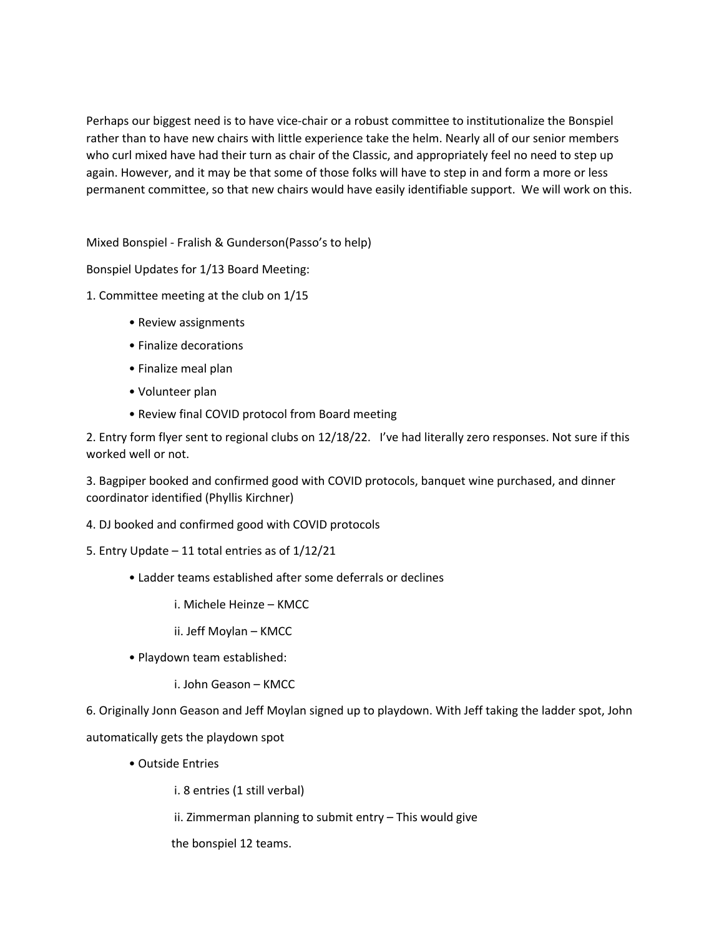Perhaps our biggest need is to have vice-chair or a robust committee to institutionalize the Bonspiel rather than to have new chairs with little experience take the helm. Nearly all of our senior members who curl mixed have had their turn as chair of the Classic, and appropriately feel no need to step up again. However, and it may be that some of those folks will have to step in and form a more or less permanent committee, so that new chairs would have easily identifiable support. We will work on this.

Mixed Bonspiel - Fralish & Gunderson(Passo's to help)

Bonspiel Updates for 1/13 Board Meeting:

1. Committee meeting at the club on 1/15

- Review assignments
- Finalize decorations
- Finalize meal plan
- Volunteer plan
- Review final COVID protocol from Board meeting

2. Entry form flyer sent to regional clubs on 12/18/22. I've had literally zero responses. Not sure if this worked well or not.

3. Bagpiper booked and confirmed good with COVID protocols, banquet wine purchased, and dinner coordinator identified (Phyllis Kirchner)

4. DJ booked and confirmed good with COVID protocols

- 5. Entry Update 11 total entries as of 1/12/21
	- Ladder teams established after some deferrals or declines
		- i. Michele Heinze KMCC

ii. Jeff Moylan – KMCC

- Playdown team established:
	- i. John Geason KMCC

6. Originally Jonn Geason and Jeff Moylan signed up to playdown. With Jeff taking the ladder spot, John automatically gets the playdown spot

• Outside Entries

i. 8 entries (1 still verbal)

ii. Zimmerman planning to submit entry – This would give

the bonspiel 12 teams.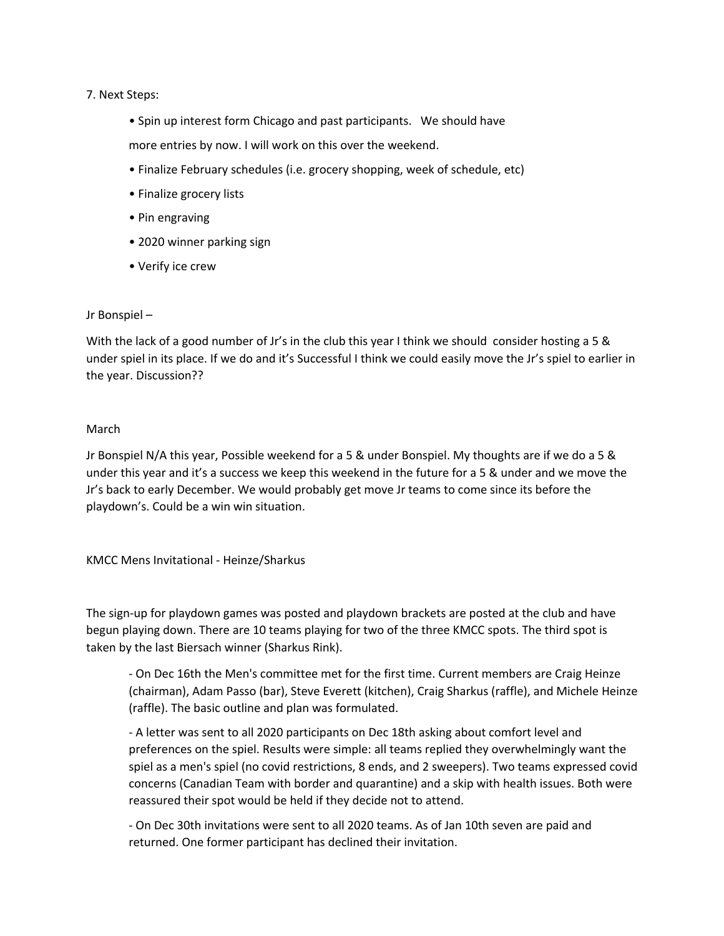#### 7. Next Steps:

- Spin up interest form Chicago and past participants. We should have
- more entries by now. I will work on this over the weekend.
- Finalize February schedules (i.e. grocery shopping, week of schedule, etc)
- Finalize grocery lists
- Pin engraving
- 2020 winner parking sign
- Verify ice crew

#### Jr Bonspiel –

With the lack of a good number of Jr's in the club this year I think we should consider hosting a 5 & under spiel in its place. If we do and it's Successful I think we could easily move the Jr's spiel to earlier in the year. Discussion??

#### March

Jr Bonspiel N/A this year, Possible weekend for a 5 & under Bonspiel. My thoughts are if we do a 5 & under this year and it's a success we keep this weekend in the future for a 5 & under and we move the Jr's back to early December. We would probably get move Jr teams to come since its before the playdown's. Could be a win win situation.

KMCC Mens Invitational - Heinze/Sharkus

The sign-up for playdown games was posted and playdown brackets are posted at the club and have begun playing down. There are 10 teams playing for two of the three KMCC spots. The third spot is taken by the last Biersach winner (Sharkus Rink).

- On Dec 16th the Men's committee met for the first time. Current members are Craig Heinze (chairman), Adam Passo (bar), Steve Everett (kitchen), Craig Sharkus (raffle), and Michele Heinze (raffle). The basic outline and plan was formulated.

- A letter was sent to all 2020 participants on Dec 18th asking about comfort level and preferences on the spiel. Results were simple: all teams replied they overwhelmingly want the spiel as a men's spiel (no covid restrictions, 8 ends, and 2 sweepers). Two teams expressed covid concerns (Canadian Team with border and quarantine) and a skip with health issues. Both were reassured their spot would be held if they decide not to attend.

- On Dec 30th invitations were sent to all 2020 teams. As of Jan 10th seven are paid and returned. One former participant has declined their invitation.